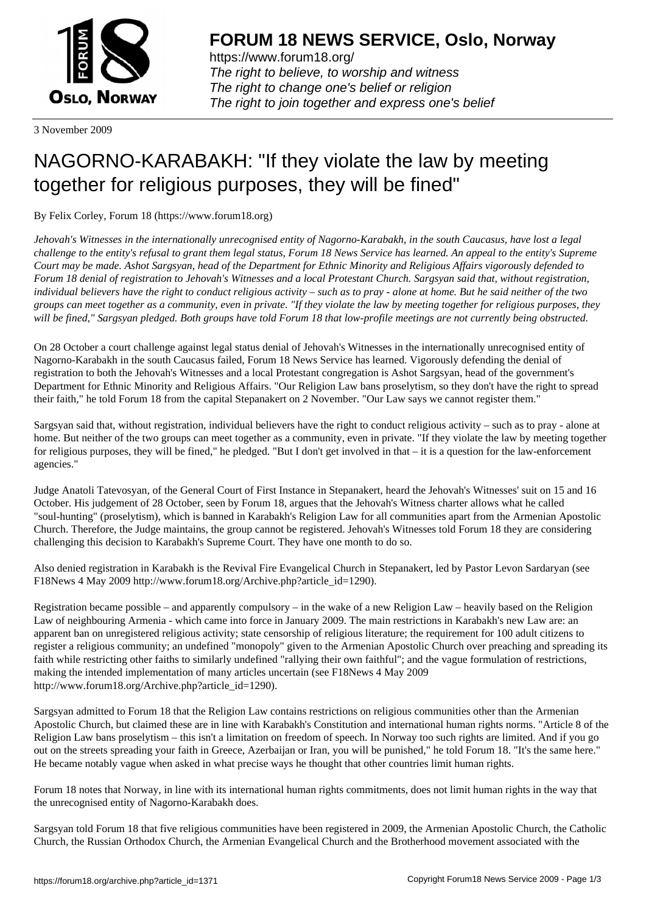

https://www.forum18.org/ The right to believe, to worship and witness The right to change one's belief or religion [The right to join together a](https://www.forum18.org/)nd express one's belief

3 November 2009

## [NAGORNO-KA](https://www.forum18.org)RABAKH: "If they violate the law by meeting together for religious purposes, they will be fined"

By Felix Corley, Forum 18 (https://www.forum18.org)

*Jehovah's Witnesses in the internationally unrecognised entity of Nagorno-Karabakh, in the south Caucasus, have lost a legal challenge to the entity's refusal to grant them legal status, Forum 18 News Service has learned. An appeal to the entity's Supreme Court may be made. Ashot Sargsyan, head of the Department for Ethnic Minority and Religious Affairs vigorously defended to Forum 18 denial of registration to Jehovah's Witnesses and a local Protestant Church. Sargsyan said that, without registration, individual believers have the right to conduct religious activity – such as to pray - alone at home. But he said neither of the two groups can meet together as a community, even in private. "If they violate the law by meeting together for religious purposes, they will be fined," Sargsyan pledged. Both groups have told Forum 18 that low-profile meetings are not currently being obstructed.*

On 28 October a court challenge against legal status denial of Jehovah's Witnesses in the internationally unrecognised entity of Nagorno-Karabakh in the south Caucasus failed, Forum 18 News Service has learned. Vigorously defending the denial of registration to both the Jehovah's Witnesses and a local Protestant congregation is Ashot Sargsyan, head of the government's Department for Ethnic Minority and Religious Affairs. "Our Religion Law bans proselytism, so they don't have the right to spread their faith," he told Forum 18 from the capital Stepanakert on 2 November. "Our Law says we cannot register them."

Sargsyan said that, without registration, individual believers have the right to conduct religious activity – such as to pray - alone at home. But neither of the two groups can meet together as a community, even in private. "If they violate the law by meeting together for religious purposes, they will be fined," he pledged. "But I don't get involved in that – it is a question for the law-enforcement agencies."

Judge Anatoli Tatevosyan, of the General Court of First Instance in Stepanakert, heard the Jehovah's Witnesses' suit on 15 and 16 October. His judgement of 28 October, seen by Forum 18, argues that the Jehovah's Witness charter allows what he called "soul-hunting" (proselytism), which is banned in Karabakh's Religion Law for all communities apart from the Armenian Apostolic Church. Therefore, the Judge maintains, the group cannot be registered. Jehovah's Witnesses told Forum 18 they are considering challenging this decision to Karabakh's Supreme Court. They have one month to do so.

Also denied registration in Karabakh is the Revival Fire Evangelical Church in Stepanakert, led by Pastor Levon Sardaryan (see F18News 4 May 2009 http://www.forum18.org/Archive.php?article\_id=1290).

Registration became possible – and apparently compulsory – in the wake of a new Religion Law – heavily based on the Religion Law of neighbouring Armenia - which came into force in January 2009. The main restrictions in Karabakh's new Law are: an apparent ban on unregistered religious activity; state censorship of religious literature; the requirement for 100 adult citizens to register a religious community; an undefined "monopoly" given to the Armenian Apostolic Church over preaching and spreading its faith while restricting other faiths to similarly undefined "rallying their own faithful"; and the vague formulation of restrictions, making the intended implementation of many articles uncertain (see F18News 4 May 2009 http://www.forum18.org/Archive.php?article\_id=1290).

Sargsyan admitted to Forum 18 that the Religion Law contains restrictions on religious communities other than the Armenian Apostolic Church, but claimed these are in line with Karabakh's Constitution and international human rights norms. "Article 8 of the Religion Law bans proselytism – this isn't a limitation on freedom of speech. In Norway too such rights are limited. And if you go out on the streets spreading your faith in Greece, Azerbaijan or Iran, you will be punished," he told Forum 18. "It's the same here." He became notably vague when asked in what precise ways he thought that other countries limit human rights.

Forum 18 notes that Norway, in line with its international human rights commitments, does not limit human rights in the way that the unrecognised entity of Nagorno-Karabakh does.

Sargsyan told Forum 18 that five religious communities have been registered in 2009, the Armenian Apostolic Church, the Catholic Church, the Russian Orthodox Church, the Armenian Evangelical Church and the Brotherhood movement associated with the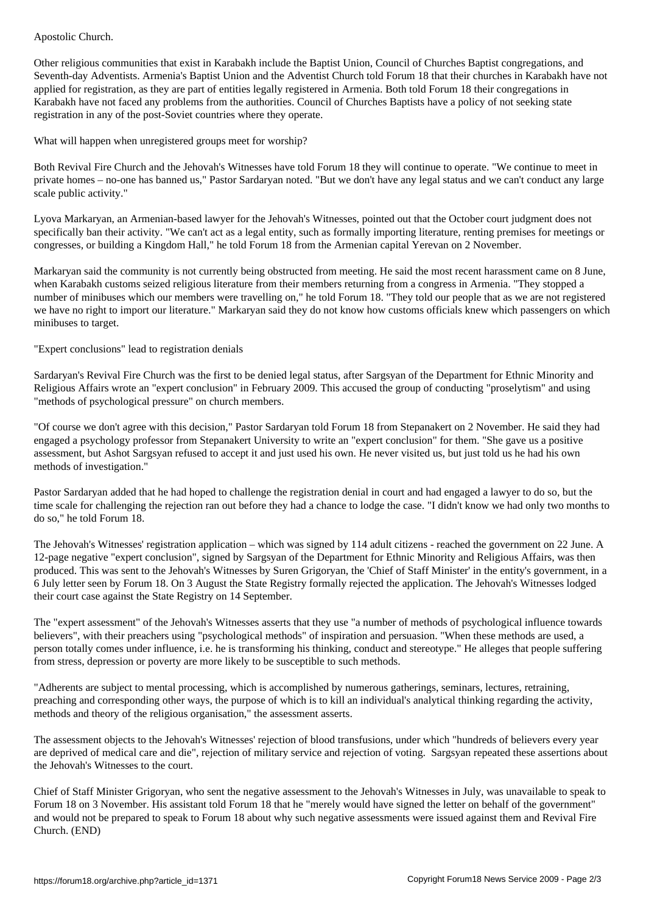Other religious communities that exist in Karabakh include the Baptist Union, Council of Churches Baptist congregations, and Seventh-day Adventists. Armenia's Baptist Union and the Adventist Church told Forum 18 that their churches in Karabakh have not applied for registration, as they are part of entities legally registered in Armenia. Both told Forum 18 their congregations in Karabakh have not faced any problems from the authorities. Council of Churches Baptists have a policy of not seeking state registration in any of the post-Soviet countries where they operate.

What will happen when unregistered groups meet for worship?

Both Revival Fire Church and the Jehovah's Witnesses have told Forum 18 they will continue to operate. "We continue to meet in private homes – no-one has banned us," Pastor Sardaryan noted. "But we don't have any legal status and we can't conduct any large scale public activity."

Lyova Markaryan, an Armenian-based lawyer for the Jehovah's Witnesses, pointed out that the October court judgment does not specifically ban their activity. "We can't act as a legal entity, such as formally importing literature, renting premises for meetings or congresses, or building a Kingdom Hall," he told Forum 18 from the Armenian capital Yerevan on 2 November.

Markaryan said the community is not currently being obstructed from meeting. He said the most recent harassment came on 8 June, when Karabakh customs seized religious literature from their members returning from a congress in Armenia. "They stopped a number of minibuses which our members were travelling on," he told Forum 18. "They told our people that as we are not registered we have no right to import our literature." Markaryan said they do not know how customs officials knew which passengers on which minibuses to target.

"Expert conclusions" lead to registration denials

Sardaryan's Revival Fire Church was the first to be denied legal status, after Sargsyan of the Department for Ethnic Minority and Religious Affairs wrote an "expert conclusion" in February 2009. This accused the group of conducting "proselytism" and using "methods of psychological pressure" on church members.

"Of course we don't agree with this decision," Pastor Sardaryan told Forum 18 from Stepanakert on 2 November. He said they had engaged a psychology professor from Stepanakert University to write an "expert conclusion" for them. "She gave us a positive assessment, but Ashot Sargsyan refused to accept it and just used his own. He never visited us, but just told us he had his own methods of investigation."

Pastor Sardaryan added that he had hoped to challenge the registration denial in court and had engaged a lawyer to do so, but the time scale for challenging the rejection ran out before they had a chance to lodge the case. "I didn't know we had only two months to do so," he told Forum 18.

The Jehovah's Witnesses' registration application – which was signed by 114 adult citizens - reached the government on 22 June. A 12-page negative "expert conclusion", signed by Sargsyan of the Department for Ethnic Minority and Religious Affairs, was then produced. This was sent to the Jehovah's Witnesses by Suren Grigoryan, the 'Chief of Staff Minister' in the entity's government, in a 6 July letter seen by Forum 18. On 3 August the State Registry formally rejected the application. The Jehovah's Witnesses lodged their court case against the State Registry on 14 September.

The "expert assessment" of the Jehovah's Witnesses asserts that they use "a number of methods of psychological influence towards believers", with their preachers using "psychological methods" of inspiration and persuasion. "When these methods are used, a person totally comes under influence, i.e. he is transforming his thinking, conduct and stereotype." He alleges that people suffering from stress, depression or poverty are more likely to be susceptible to such methods.

"Adherents are subject to mental processing, which is accomplished by numerous gatherings, seminars, lectures, retraining, preaching and corresponding other ways, the purpose of which is to kill an individual's analytical thinking regarding the activity, methods and theory of the religious organisation," the assessment asserts.

The assessment objects to the Jehovah's Witnesses' rejection of blood transfusions, under which "hundreds of believers every year are deprived of medical care and die", rejection of military service and rejection of voting. Sargsyan repeated these assertions about the Jehovah's Witnesses to the court.

Chief of Staff Minister Grigoryan, who sent the negative assessment to the Jehovah's Witnesses in July, was unavailable to speak to Forum 18 on 3 November. His assistant told Forum 18 that he "merely would have signed the letter on behalf of the government" and would not be prepared to speak to Forum 18 about why such negative assessments were issued against them and Revival Fire Church. (END)